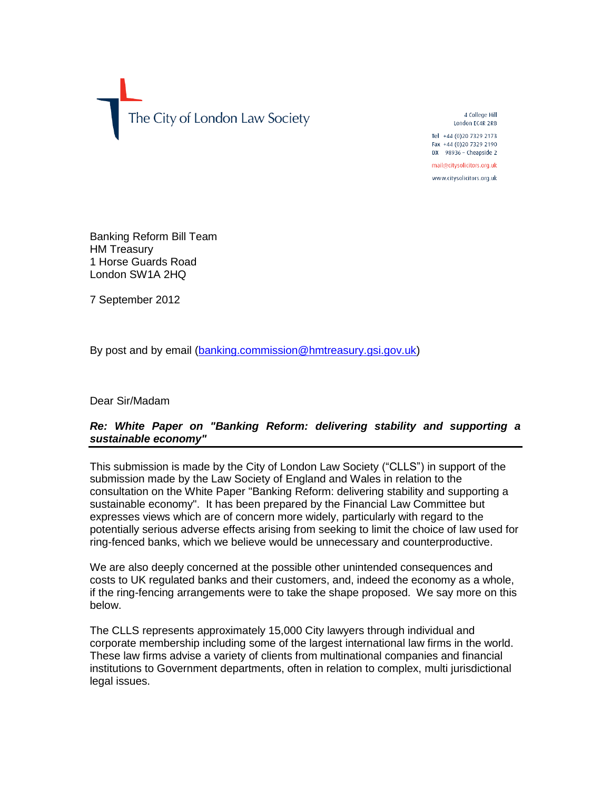

4 College Hill London EC4R 2RB Tel +44 (0) 20 7329 2173

Fax +44 (0)20 7329 2190 DX 98936 - Cheapside 2

mail@citysolicitors.org.uk www.citysolicitors.org.uk

Banking Reform Bill Team HM Treasury 1 Horse Guards Road London SW1A 2HQ

7 September 2012

By post and by email [\(banking.commission@hmtreasury.gsi.gov.uk\)](mailto:banking.commission@hmtreasury.gsi.gov.uk)

Dear Sir/Madam

### *Re: White Paper on "Banking Reform: delivering stability and supporting a sustainable economy"*

This submission is made by the City of London Law Society ("CLLS") in support of the submission made by the Law Society of England and Wales in relation to the consultation on the White Paper "Banking Reform: delivering stability and supporting a sustainable economy". It has been prepared by the Financial Law Committee but expresses views which are of concern more widely, particularly with regard to the potentially serious adverse effects arising from seeking to limit the choice of law used for ring-fenced banks, which we believe would be unnecessary and counterproductive.

We are also deeply concerned at the possible other unintended consequences and costs to UK regulated banks and their customers, and, indeed the economy as a whole, if the ring-fencing arrangements were to take the shape proposed. We say more on this below.

The CLLS represents approximately 15,000 City lawyers through individual and corporate membership including some of the largest international law firms in the world. These law firms advise a variety of clients from multinational companies and financial institutions to Government departments, often in relation to complex, multi jurisdictional legal issues.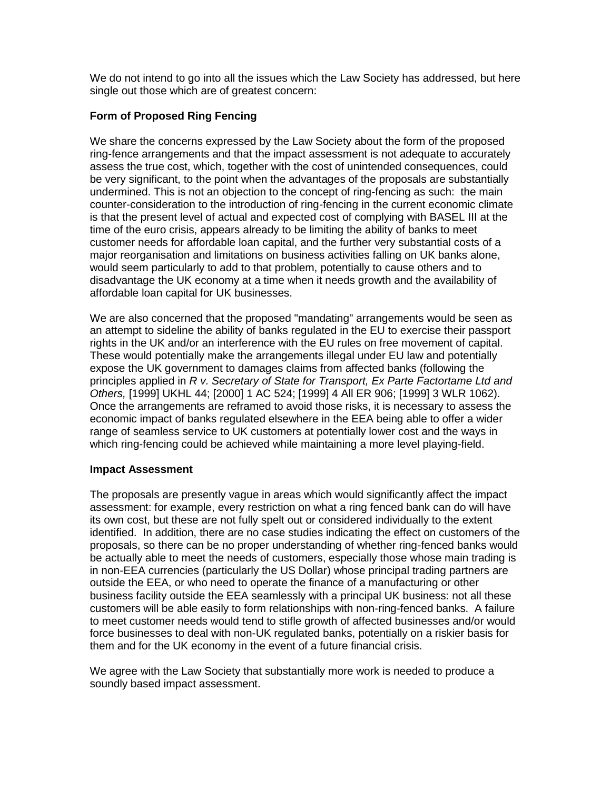We do not intend to go into all the issues which the Law Society has addressed, but here single out those which are of greatest concern:

## **Form of Proposed Ring Fencing**

We share the concerns expressed by the Law Society about the form of the proposed ring-fence arrangements and that the impact assessment is not adequate to accurately assess the true cost, which, together with the cost of unintended consequences, could be very significant, to the point when the advantages of the proposals are substantially undermined. This is not an objection to the concept of ring-fencing as such: the main counter-consideration to the introduction of ring-fencing in the current economic climate is that the present level of actual and expected cost of complying with BASEL III at the time of the euro crisis, appears already to be limiting the ability of banks to meet customer needs for affordable loan capital, and the further very substantial costs of a major reorganisation and limitations on business activities falling on UK banks alone, would seem particularly to add to that problem, potentially to cause others and to disadvantage the UK economy at a time when it needs growth and the availability of affordable loan capital for UK businesses.

We are also concerned that the proposed "mandating" arrangements would be seen as an attempt to sideline the ability of banks regulated in the EU to exercise their passport rights in the UK and/or an interference with the EU rules on free movement of capital. These would potentially make the arrangements illegal under EU law and potentially expose the UK government to damages claims from affected banks (following the principles applied in *R v. Secretary of State for Transport, Ex Parte Factortame Ltd and Others,* [1999] UKHL 44; [2000] 1 AC 524; [1999] 4 All ER 906; [1999] 3 WLR 1062). Once the arrangements are reframed to avoid those risks, it is necessary to assess the economic impact of banks regulated elsewhere in the EEA being able to offer a wider range of seamless service to UK customers at potentially lower cost and the ways in which ring-fencing could be achieved while maintaining a more level playing-field.

### **Impact Assessment**

The proposals are presently vague in areas which would significantly affect the impact assessment: for example, every restriction on what a ring fenced bank can do will have its own cost, but these are not fully spelt out or considered individually to the extent identified. In addition, there are no case studies indicating the effect on customers of the proposals, so there can be no proper understanding of whether ring-fenced banks would be actually able to meet the needs of customers, especially those whose main trading is in non-EEA currencies (particularly the US Dollar) whose principal trading partners are outside the EEA, or who need to operate the finance of a manufacturing or other business facility outside the EEA seamlessly with a principal UK business: not all these customers will be able easily to form relationships with non-ring-fenced banks. A failure to meet customer needs would tend to stifle growth of affected businesses and/or would force businesses to deal with non-UK regulated banks, potentially on a riskier basis for them and for the UK economy in the event of a future financial crisis.

We agree with the Law Society that substantially more work is needed to produce a soundly based impact assessment.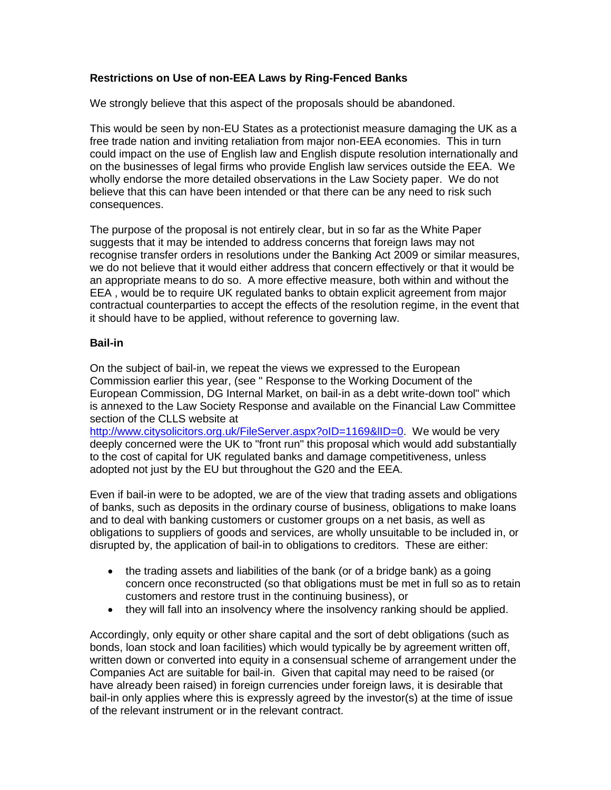# **Restrictions on Use of non-EEA Laws by Ring-Fenced Banks**

We strongly believe that this aspect of the proposals should be abandoned.

This would be seen by non-EU States as a protectionist measure damaging the UK as a free trade nation and inviting retaliation from major non-EEA economies. This in turn could impact on the use of English law and English dispute resolution internationally and on the businesses of legal firms who provide English law services outside the EEA. We wholly endorse the more detailed observations in the Law Society paper. We do not believe that this can have been intended or that there can be any need to risk such consequences.

The purpose of the proposal is not entirely clear, but in so far as the White Paper suggests that it may be intended to address concerns that foreign laws may not recognise transfer orders in resolutions under the Banking Act 2009 or similar measures, we do not believe that it would either address that concern effectively or that it would be an appropriate means to do so. A more effective measure, both within and without the EEA , would be to require UK regulated banks to obtain explicit agreement from major contractual counterparties to accept the effects of the resolution regime, in the event that it should have to be applied, without reference to governing law.

### **Bail-in**

On the subject of bail-in, we repeat the views we expressed to the European Commission earlier this year, (see " Response to the Working Document of the European Commission, DG Internal Market, on bail-in as a debt write-down tool" which is annexed to the Law Society Response and available on the Financial Law Committee section of the CLLS website at

[http://www.citysolicitors.org.uk/FileServer.aspx?oID=1169&lID=0.](http://www.citysolicitors.org.uk/FileServer.aspx?oID=1169&lID=0) We would be very deeply concerned were the UK to "front run" this proposal which would add substantially to the cost of capital for UK regulated banks and damage competitiveness, unless adopted not just by the EU but throughout the G20 and the EEA.

Even if bail-in were to be adopted, we are of the view that trading assets and obligations of banks, such as deposits in the ordinary course of business, obligations to make loans and to deal with banking customers or customer groups on a net basis, as well as obligations to suppliers of goods and services, are wholly unsuitable to be included in, or disrupted by, the application of bail-in to obligations to creditors. These are either:

- the trading assets and liabilities of the bank (or of a bridge bank) as a going concern once reconstructed (so that obligations must be met in full so as to retain customers and restore trust in the continuing business), or
- they will fall into an insolvency where the insolvency ranking should be applied.

Accordingly, only equity or other share capital and the sort of debt obligations (such as bonds, loan stock and loan facilities) which would typically be by agreement written off, written down or converted into equity in a consensual scheme of arrangement under the Companies Act are suitable for bail-in. Given that capital may need to be raised (or have already been raised) in foreign currencies under foreign laws, it is desirable that bail-in only applies where this is expressly agreed by the investor(s) at the time of issue of the relevant instrument or in the relevant contract.